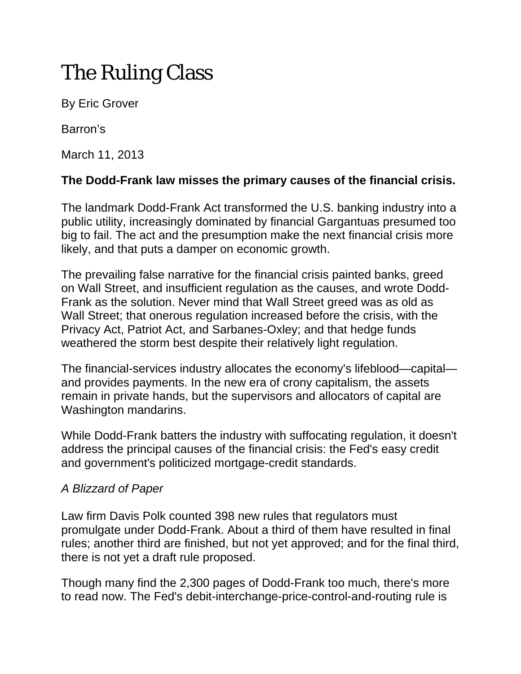# The Ruling Class

By Eric Grover

Barron's

March 11, 2013

## **The Dodd-Frank law misses the primary causes of the financial crisis.**

The landmark Dodd-Frank Act transformed the U.S. banking industry into a public utility, increasingly dominated by financial Gargantuas presumed too big to fail. The act and the presumption make the next financial crisis more likely, and that puts a damper on economic growth.

The prevailing false narrative for the financial crisis painted banks, greed on Wall Street, and insufficient regulation as the causes, and wrote Dodd-Frank as the solution. Never mind that Wall Street greed was as old as Wall Street; that onerous regulation increased before the crisis, with the Privacy Act, Patriot Act, and Sarbanes-Oxley; and that hedge funds weathered the storm best despite their relatively light regulation.

The financial-services industry allocates the economy's lifeblood—capital and provides payments. In the new era of crony capitalism, the assets remain in private hands, but the supervisors and allocators of capital are Washington mandarins.

While Dodd-Frank batters the industry with suffocating regulation, it doesn't address the principal causes of the financial crisis: the Fed's easy credit and government's politicized mortgage-credit standards.

## *A Blizzard of Paper*

Law firm Davis Polk counted 398 new rules that regulators must promulgate under Dodd-Frank. About a third of them have resulted in final rules; another third are finished, but not yet approved; and for the final third, there is not yet a draft rule proposed.

Though many find the 2,300 pages of Dodd-Frank too much, there's more to read now. The Fed's debit-interchange-price-control-and-routing rule is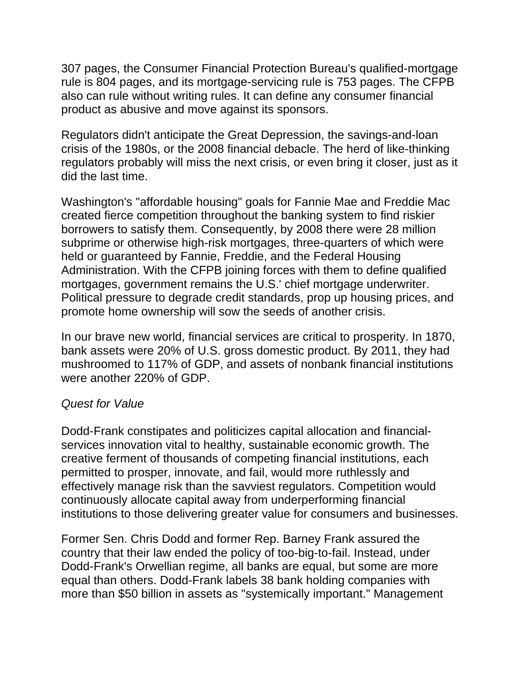307 pages, the Consumer Financial Protection Bureau's qualified-mortgage rule is 804 pages, and its mortgage-servicing rule is 753 pages. The CFPB also can rule without writing rules. It can define any consumer financial product as abusive and move against its sponsors.

Regulators didn't anticipate the Great Depression, the savings-and-loan crisis of the 1980s, or the 2008 financial debacle. The herd of like-thinking regulators probably will miss the next crisis, or even bring it closer, just as it did the last time.

Washington's "affordable housing" goals for Fannie Mae and Freddie Mac created fierce competition throughout the banking system to find riskier borrowers to satisfy them. Consequently, by 2008 there were 28 million subprime or otherwise high-risk mortgages, three-quarters of which were held or guaranteed by Fannie, Freddie, and the Federal Housing Administration. With the CFPB joining forces with them to define qualified mortgages, government remains the U.S.' chief mortgage underwriter. Political pressure to degrade credit standards, prop up housing prices, and promote home ownership will sow the seeds of another crisis.

In our brave new world, financial services are critical to prosperity. In 1870, bank assets were 20% of U.S. gross domestic product. By 2011, they had mushroomed to 117% of GDP, and assets of nonbank financial institutions were another 220% of GDP.

### *Quest for Value*

Dodd-Frank constipates and politicizes capital allocation and financialservices innovation vital to healthy, sustainable economic growth. The creative ferment of thousands of competing financial institutions, each permitted to prosper, innovate, and fail, would more ruthlessly and effectively manage risk than the savviest regulators. Competition would continuously allocate capital away from underperforming financial institutions to those delivering greater value for consumers and businesses.

Former Sen. Chris Dodd and former Rep. Barney Frank assured the country that their law ended the policy of too-big-to-fail. Instead, under Dodd-Frank's Orwellian regime, all banks are equal, but some are more equal than others. Dodd-Frank labels 38 bank holding companies with more than \$50 billion in assets as "systemically important." Management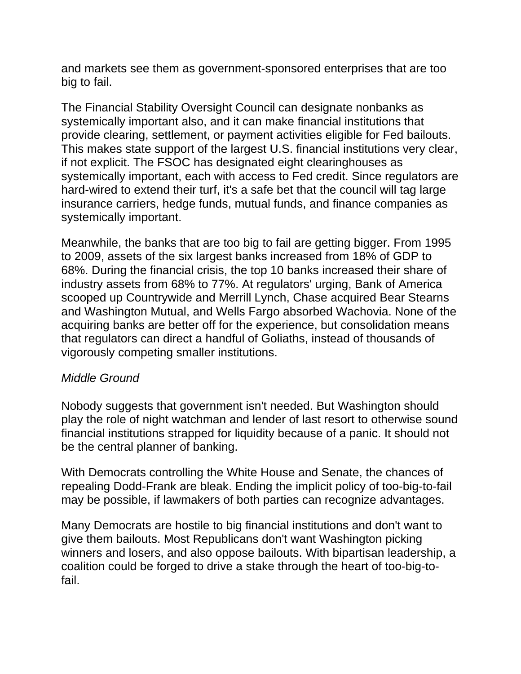and markets see them as government-sponsored enterprises that are too big to fail.

The Financial Stability Oversight Council can designate nonbanks as systemically important also, and it can make financial institutions that provide clearing, settlement, or payment activities eligible for Fed bailouts. This makes state support of the largest U.S. financial institutions very clear, if not explicit. The FSOC has designated eight clearinghouses as systemically important, each with access to Fed credit. Since regulators are hard-wired to extend their turf, it's a safe bet that the council will tag large insurance carriers, hedge funds, mutual funds, and finance companies as systemically important.

Meanwhile, the banks that are too big to fail are getting bigger. From 1995 to 2009, assets of the six largest banks increased from 18% of GDP to 68%. During the financial crisis, the top 10 banks increased their share of industry assets from 68% to 77%. At regulators' urging, Bank of America scooped up Countrywide and Merrill Lynch, Chase acquired Bear Stearns and Washington Mutual, and Wells Fargo absorbed Wachovia. None of the acquiring banks are better off for the experience, but consolidation means that regulators can direct a handful of Goliaths, instead of thousands of vigorously competing smaller institutions.

### *Middle Ground*

Nobody suggests that government isn't needed. But Washington should play the role of night watchman and lender of last resort to otherwise sound financial institutions strapped for liquidity because of a panic. It should not be the central planner of banking.

With Democrats controlling the White House and Senate, the chances of repealing Dodd-Frank are bleak. Ending the implicit policy of too-big-to-fail may be possible, if lawmakers of both parties can recognize advantages.

Many Democrats are hostile to big financial institutions and don't want to give them bailouts. Most Republicans don't want Washington picking winners and losers, and also oppose bailouts. With bipartisan leadership, a coalition could be forged to drive a stake through the heart of too-big-tofail.